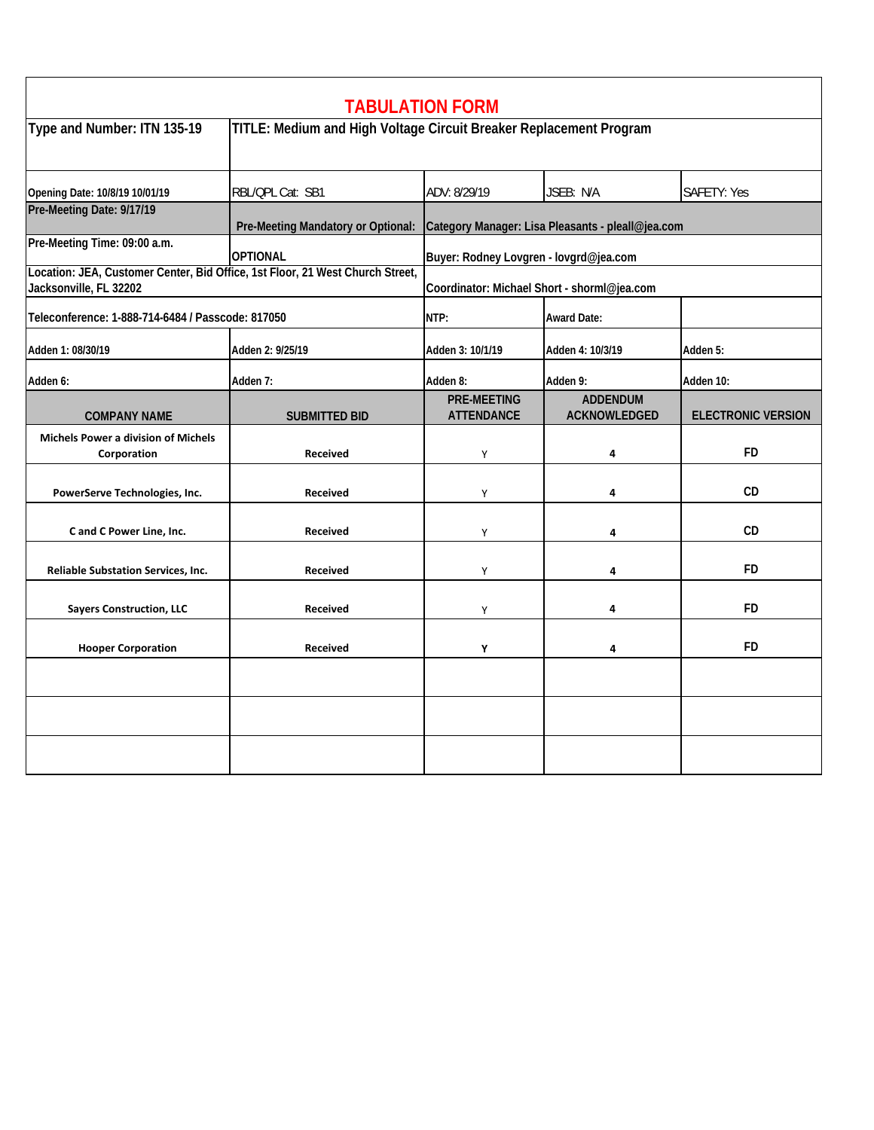| <b>TABULATION FORM</b>                                                                                  |                                                                    |                                                   |                                 |                           |  |  |  |  |
|---------------------------------------------------------------------------------------------------------|--------------------------------------------------------------------|---------------------------------------------------|---------------------------------|---------------------------|--|--|--|--|
| Type and Number: ITN 135-19                                                                             | TITLE: Medium and High Voltage Circuit Breaker Replacement Program |                                                   |                                 |                           |  |  |  |  |
| Opening Date: 10/8/19 10/01/19                                                                          | RBL/QPL Cat: SB1                                                   | ADV: 8/29/19                                      | JSEB: N/A                       | <b>SAFETY: Yes</b>        |  |  |  |  |
| Pre-Meeting Date: 9/17/19                                                                               | Pre-Meeting Mandatory or Optional:                                 | Category Manager: Lisa Pleasants - pleall@jea.com |                                 |                           |  |  |  |  |
| Pre-Meeting Time: 09:00 a.m.                                                                            | <b>OPTIONAL</b>                                                    | Buyer: Rodney Lovgren - lovgrd@jea.com            |                                 |                           |  |  |  |  |
| Location: JEA, Customer Center, Bid Office, 1st Floor, 21 West Church Street,<br>Jacksonville, FL 32202 |                                                                    | Coordinator: Michael Short - shorml@jea.com       |                                 |                           |  |  |  |  |
| Teleconference: 1-888-714-6484 / Passcode: 817050                                                       |                                                                    | NTP:                                              | <b>Award Date:</b>              |                           |  |  |  |  |
| Adden 1: 08/30/19                                                                                       | Adden 2: 9/25/19                                                   | Adden 3: 10/1/19                                  | Adden 4: 10/3/19                | Adden 5:                  |  |  |  |  |
| Adden 6:                                                                                                | Adden 7:                                                           | Adden 8:                                          | Adden 9:                        | Adden 10:                 |  |  |  |  |
| <b>COMPANY NAME</b>                                                                                     | <b>SUBMITTED BID</b>                                               | <b>PRE-MEETING</b><br><b>ATTENDANCE</b>           | <b>ADDENDUM</b><br>ACKNOWLEDGED | <b>ELECTRONIC VERSION</b> |  |  |  |  |
| <b>Michels Power a division of Michels</b><br>Corporation                                               | <b>Received</b>                                                    | Y                                                 | 4                               | <b>FD</b>                 |  |  |  |  |
| PowerServe Technologies, Inc.                                                                           | Received                                                           | Y                                                 | 4                               | CD                        |  |  |  |  |
| C and C Power Line, Inc.                                                                                | Received                                                           | Y                                                 | 4                               | CD                        |  |  |  |  |
| Reliable Substation Services, Inc.                                                                      | <b>Received</b>                                                    | Y                                                 | 4                               | FD                        |  |  |  |  |
| <b>Sayers Construction, LLC</b>                                                                         | <b>Received</b>                                                    | Υ                                                 | 4                               | FD                        |  |  |  |  |
| <b>Hooper Corporation</b>                                                                               | <b>Received</b>                                                    | Y                                                 | 4                               | FD                        |  |  |  |  |
|                                                                                                         |                                                                    |                                                   |                                 |                           |  |  |  |  |
|                                                                                                         |                                                                    |                                                   |                                 |                           |  |  |  |  |
|                                                                                                         |                                                                    |                                                   |                                 |                           |  |  |  |  |